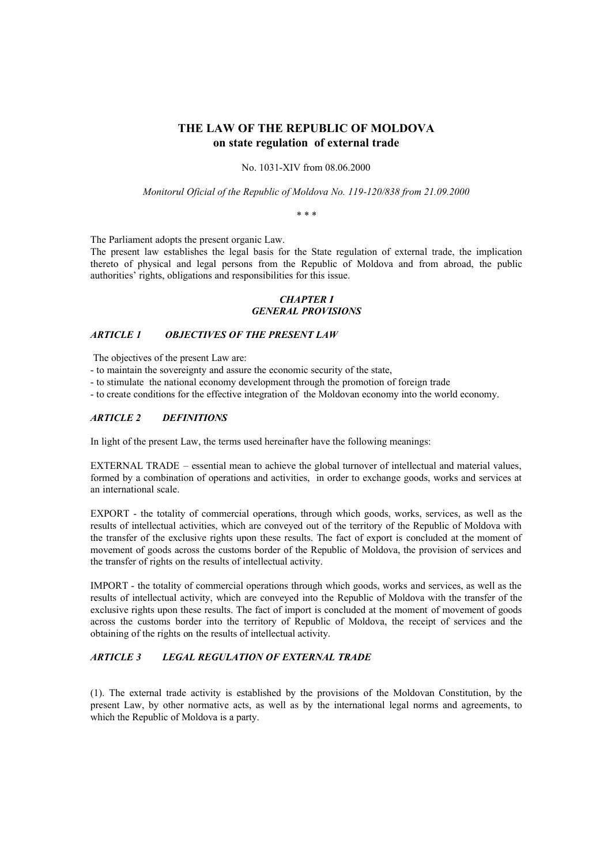# **THE LAW OF THE REPUBLIC OF MOLDOVA on state regulation of external trade**

No. 1031-XIV from 08.06.2000

*Monitorul Oficial of the Republic of Moldova No. 119-120/838 from 21.09.2000*

*\* \* \**

The Parliament adopts the present organic Law.

The present law establishes the legal basis for the State regulation of external trade, the implication thereto of physical and legal persons from the Republic of Moldova and from abroad, the public authorities' rights, obligations and responsibilities for this issue.

#### *CHAPTER I GENERAL PROVISIONS*

#### *ARTICLE 1 OBJECTIVES OF THE PRESENT LAW*

The objectives of the present Law are:

- to maintain the sovereignty and assure the economic security of the state,
- to stimulate the national economy development through the promotion of foreign trade
- to create conditions for the effective integration of the Moldovan economy into the world economy.

#### *ARTICLE 2 DEFINITIONS*

In light of the present Law, the terms used hereinafter have the following meanings:

EXTERNAL TRADE – essential mean to achieve the global turnover of intellectual and material values, formed by a combination of operations and activities, in order to exchange goods, works and services at an international scale.

EXPORT - the totality of commercial operations, through which goods, works, services, as well as the results of intellectual activities, which are conveyed out of the territory of the Republic of Moldova with the transfer of the exclusive rights upon these results. The fact of export is concluded at the moment of movement of goods across the customs border of the Republic of Moldova, the provision of services and the transfer of rights on the results of intellectual activity.

IMPORT - the totality of commercial operations through which goods, works and services, as well as the results of intellectual activity, which are conveyed into the Republic of Moldova with the transfer of the exclusive rights upon these results. The fact of import is concluded at the moment of movement of goods across the customs border into the territory of Republic of Moldova, the receipt of services and the obtaining of the rights on the results of intellectual activity.

## *ARTICLE 3 LEGAL REGULATION OF EXTERNAL TRADE*

(1). The external trade activity is established by the provisions of the Moldovan Constitution, by the present Law, by other normative acts, as well as by the international legal norms and agreements, to which the Republic of Moldova is a party.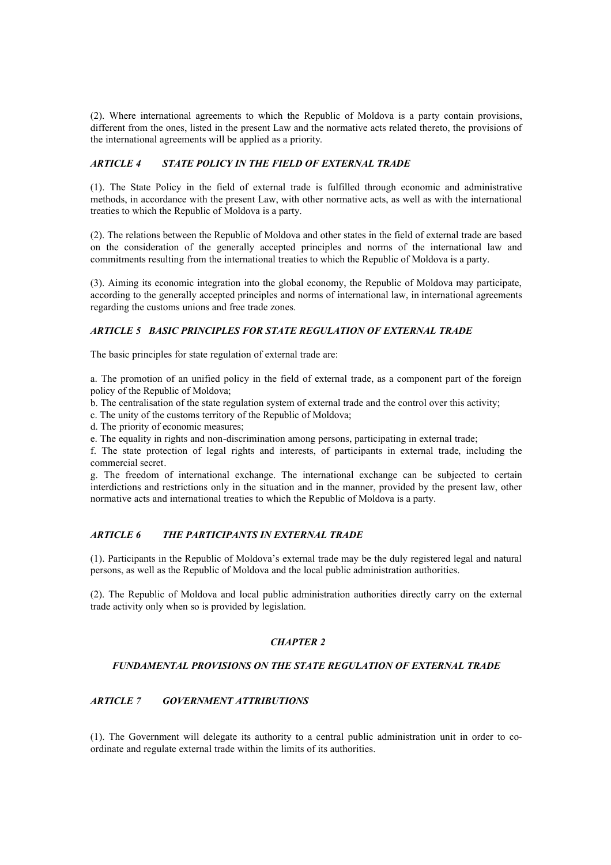(2). Where international agreements to which the Republic of Moldova is a party contain provisions, different from the ones, listed in the present Law and the normative acts related thereto, the provisions of the international agreements will be applied as a priority.

# *ARTICLE 4 STATE POLICY IN THE FIELD OF EXTERNAL TRADE*

(1). The State Policy in the field of external trade is fulfilled through economic and administrative methods, in accordance with the present Law, with other normative acts, as well as with the international treaties to which the Republic of Moldova is a party.

(2). The relations between the Republic of Moldova and other states in the field of external trade are based on the consideration of the generally accepted principles and norms of the international law and commitments resulting from the international treaties to which the Republic of Moldova is a party.

(3). Aiming its economic integration into the global economy, the Republic of Moldova may participate, according to the generally accepted principles and norms of international law, in international agreements regarding the customs unions and free trade zones.

# *ARTICLE 5 BASIC PRINCIPLES FOR STATE REGULATION OF EXTERNAL TRADE*

The basic principles for state regulation of external trade are:

a. The promotion of an unified policy in the field of external trade, as a component part of the foreign policy of the Republic of Moldova;

b. The centralisation of the state regulation system of external trade and the control over this activity;

c. The unity of the customs territory of the Republic of Moldova;

d. The priority of economic measures;

e. The equality in rights and non-discrimination among persons, participating in external trade;

f. The state protection of legal rights and interests, of participants in external trade, including the commercial secret.

g. The freedom of international exchange. The international exchange can be subjected to certain interdictions and restrictions only in the situation and in the manner, provided by the present law, other normative acts and international treaties to which the Republic of Moldova is a party.

# *ARTICLE 6 THE PARTICIPANTS IN EXTERNAL TRADE*

(1). Participants in the Republic of Moldova's external trade may be the duly registered legal and natural persons, as well as the Republic of Moldova and the local public administration authorities.

(2). The Republic of Moldova and local public administration authorities directly carry on the external trade activity only when so is provided by legislation.

## *CHAPTER 2*

## *FUNDAMENTAL PROVISIONS ON THE STATE REGULATION OF EXTERNAL TRADE*

# *ARTICLE 7 GOVERNMENT ATTRIBUTIONS*

(1). The Government will delegate its authority to a central public administration unit in order to coordinate and regulate external trade within the limits of its authorities.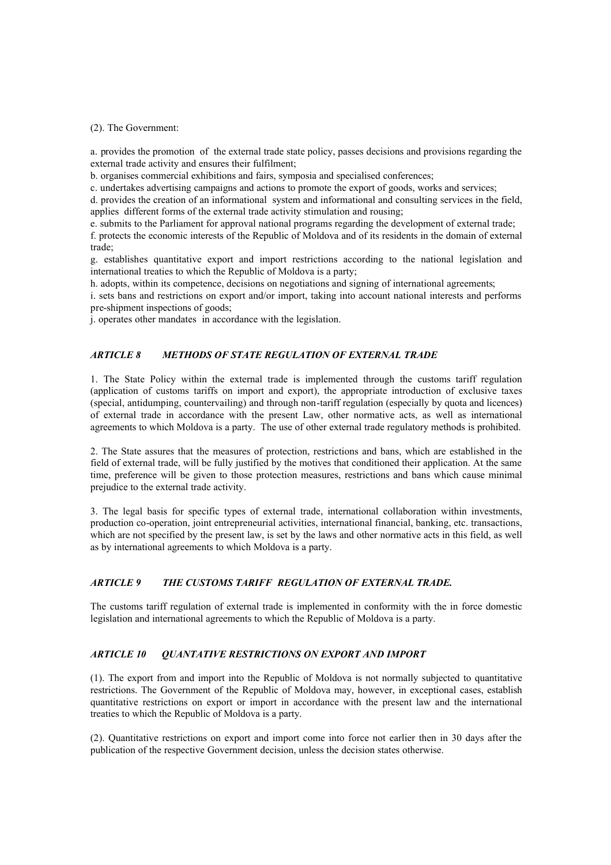#### (2). The Government:

a. provides the promotion of the external trade state policy, passes decisions and provisions regarding the external trade activity and ensures their fulfilment;

b. organises commercial exhibitions and fairs, symposia and specialised conferences;

c. undertakes advertising campaigns and actions to promote the export of goods, works and services;

d. provides the creation of an informational system and informational and consulting services in the field, applies different forms of the external trade activity stimulation and rousing;

e. submits to the Parliament for approval national programs regarding the development of external trade;

f. protects the economic interests of the Republic of Moldova and of its residents in the domain of external trade;

g. establishes quantitative export and import restrictions according to the national legislation and international treaties to which the Republic of Moldova is a party;

h. adopts, within its competence, decisions on negotiations and signing of international agreements;

i. sets bans and restrictions on export and/or import, taking into account national interests and performs pre-shipment inspections of goods;

j. operates other mandates in accordance with the legislation.

# *ARTICLE 8 METHODS OF STATE REGULATION OF EXTERNAL TRADE*

1. The State Policy within the external trade is implemented through the customs tariff regulation (application of customs tariffs on import and export), the appropriate introduction of exclusive taxes (special, antidumping, countervailing) and through non-tariff regulation (especially by quota and licences) of external trade in accordance with the present Law, other normative acts, as well as international agreements to which Moldova is a party. The use of other external trade regulatory methods is prohibited.

2. The State assures that the measures of protection, restrictions and bans, which are established in the field of external trade, will be fully justified by the motives that conditioned their application. At the same time, preference will be given to those protection measures, restrictions and bans which cause minimal prejudice to the external trade activity.

3. The legal basis for specific types of external trade, international collaboration within investments, production co-operation, joint entrepreneurial activities, international financial, banking, etc. transactions, which are not specified by the present law, is set by the laws and other normative acts in this field, as well as by international agreements to which Moldova is a party.

## *ARTICLE 9 THE CUSTOMS TARIFF REGULATION OF EXTERNAL TRADE.*

The customs tariff regulation of external trade is implemented in conformity with the in force domestic legislation and international agreements to which the Republic of Moldova is a party.

## *ARTICLE 10 QUANTATIVE RESTRICTIONS ON EXPORT AND IMPORT*

(1). The export from and import into the Republic of Moldova is not normally subjected to quantitative restrictions. The Government of the Republic of Moldova may, however, in exceptional cases, establish quantitative restrictions on export or import in accordance with the present law and the international treaties to which the Republic of Moldova is a party.

(2). Quantitative restrictions on export and import come into force not earlier then in 30 days after the publication of the respective Government decision, unless the decision states otherwise.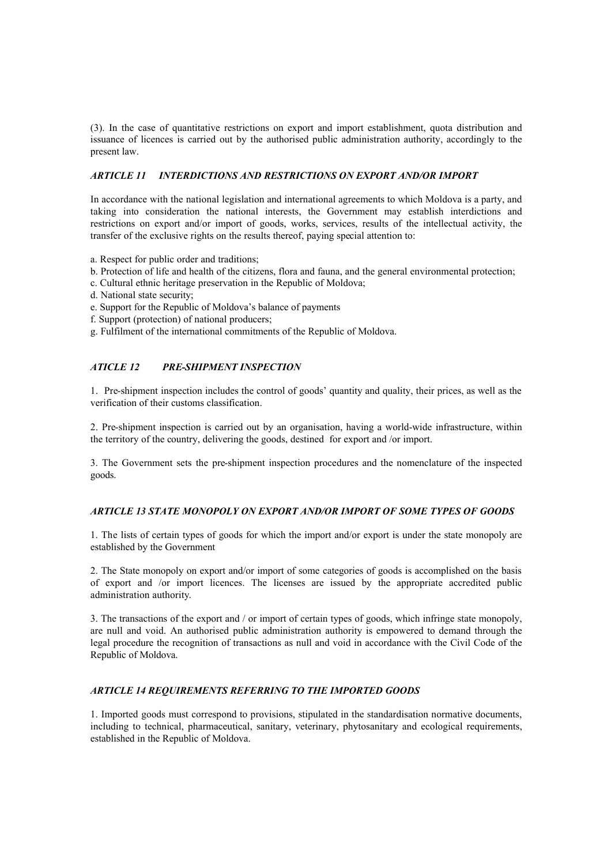(3). In the case of quantitative restrictions on export and import establishment, quota distribution and issuance of licences is carried out by the authorised public administration authority, accordingly to the present law.

## *ARTICLE 11 INTERDICTIONS AND RESTRICTIONS ON EXPORT AND/OR IMPORT*

In accordance with the national legislation and international agreements to which Moldova is a party, and taking into consideration the national interests, the Government may establish interdictions and restrictions on export and/or import of goods, works, services, results of the intellectual activity, the transfer of the exclusive rights on the results thereof, paying special attention to:

- a. Respect for public order and traditions;
- b. Protection of life and health of the citizens, flora and fauna, and the general environmental protection;
- c. Cultural ethnic heritage preservation in the Republic of Moldova;
- d. National state security;
- e. Support for the Republic of Moldova's balance of payments
- f. Support (protection) of national producers;
- g. Fulfilment of the international commitments of the Republic of Moldova.

#### *ATICLE 12 PRE-SHIPMENT INSPECTION*

1. Pre-shipment inspection includes the control of goods' quantity and quality, their prices, as well as the verification of their customs classification.

2. Pre-shipment inspection is carried out by an organisation, having a world-wide infrastructure, within the territory of the country, delivering the goods, destined for export and /or import.

3. The Government sets the pre-shipment inspection procedures and the nomenclature of the inspected goods.

## *ARTICLE 13 STATE MONOPOLY ON EXPORT AND/OR IMPORT OF SOME TYPES OF GOODS*

1. The lists of certain types of goods for which the import and/or export is under the state monopoly are established by the Government

2. The State monopoly on export and/or import of some categories of goods is accomplished on the basis of export and /or import licences. The licenses are issued by the appropriate accredited public administration authority.

3. The transactions of the export and / or import of certain types of goods, which infringe state monopoly, are null and void. An authorised public administration authority is empowered to demand through the legal procedure the recognition of transactions as null and void in accordance with the Civil Code of the Republic of Moldova.

#### *ARTICLE 14 REQUIREMENTS REFERRING TO THE IMPORTED GOODS*

1. Imported goods must correspond to provisions, stipulated in the standardisation normative documents, including to technical, pharmaceutical, sanitary, veterinary, phytosanitary and ecological requirements, established in the Republic of Moldova.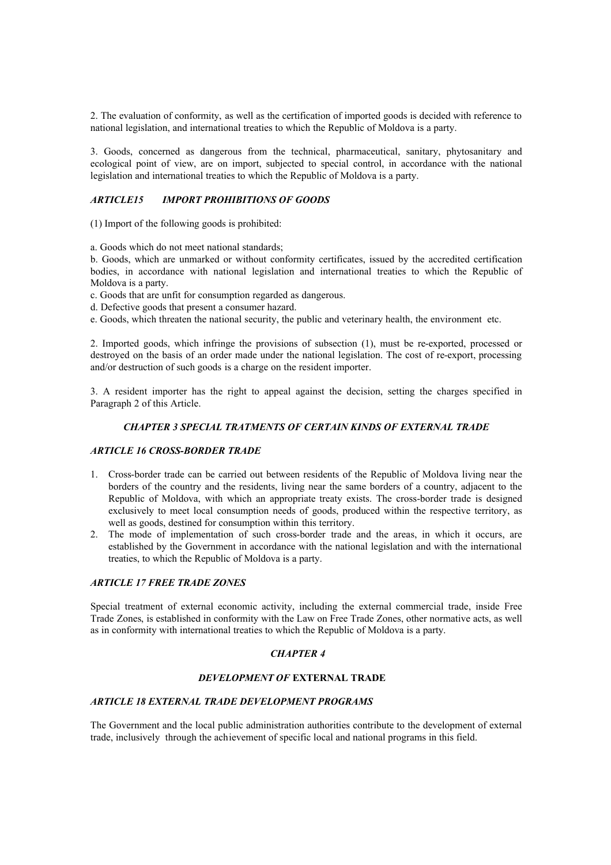2. The evaluation of conformity, as well as the certification of imported goods is decided with reference to national legislation, and international treaties to which the Republic of Moldova is a party.

3. Goods, concerned as dangerous from the technical, pharmaceutical, sanitary, phytosanitary and ecological point of view, are on import, subjected to special control, in accordance with the national legislation and international treaties to which the Republic of Moldova is a party.

## *ARTICLE15 IMPORT PROHIBITIONS OF GOODS*

(1) Import of the following goods is prohibited:

a. Goods which do not meet national standards;

b. Goods, which are unmarked or without conformity certificates, issued by the accredited certification bodies, in accordance with national legislation and international treaties to which the Republic of Moldova is a party.

c. Goods that are unfit for consumption regarded as dangerous.

d. Defective goods that present a consumer hazard.

e. Goods, which threaten the national security, the public and veterinary health, the environment etc.

2. Imported goods, which infringe the provisions of subsection (1), must be re-exported, processed or destroyed on the basis of an order made under the national legislation. The cost of re-export, processing and/or destruction of such goods is a charge on the resident importer.

3. A resident importer has the right to appeal against the decision, setting the charges specified in Paragraph 2 of this Article.

#### *CHAPTER 3 SPECIAL TRATMENTS OF CERTAIN KINDS OF EXTERNAL TRADE*

## *ARTICLE 16 CROSS-BORDER TRADE*

- 1. Cross-border trade can be carried out between residents of the Republic of Moldova living near the borders of the country and the residents, living near the same borders of a country, adjacent to the Republic of Moldova, with which an appropriate treaty exists. The cross-border trade is designed exclusively to meet local consumption needs of goods, produced within the respective territory, as well as goods, destined for consumption within this territory.
- 2. The mode of implementation of such cross-border trade and the areas, in which it occurs, are established by the Government in accordance with the national legislation and with the international treaties, to which the Republic of Moldova is a party.

## *ARTICLE 17 FREE TRADE ZONES*

Special treatment of external economic activity, including the external commercial trade, inside Free Trade Zones, is established in conformity with the Law on Free Trade Zones, other normative acts, as well as in conformity with international treaties to which the Republic of Moldova is a party.

## *CHAPTER 4*

## *DEVELOPMENT OF* **EXTERNAL TRADE**

## *ARTICLE 18 EXTERNAL TRADE DEVELOPMENT PROGRAMS*

The Government and the local public administration authorities contribute to the development of external trade, inclusively through the achievement of specific local and national programs in this field.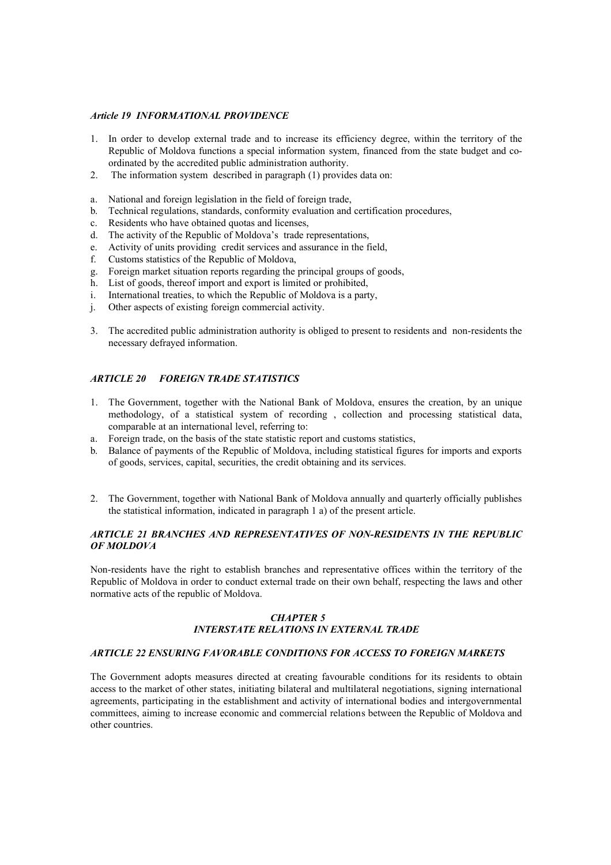#### *Article 19 INFORMATIONAL PROVIDENCE*

- 1. In order to develop external trade and to increase its efficiency degree, within the territory of the Republic of Moldova functions a special information system, financed from the state budget and coordinated by the accredited public administration authority.
- 2. The information system described in paragraph (1) provides data on:
- a. National and foreign legislation in the field of foreign trade,
- b. Technical regulations, standards, conformity evaluation and certification procedures,
- c. Residents who have obtained quotas and licenses,
- d. The activity of the Republic of Moldova's trade representations,
- e. Activity of units providing credit services and assurance in the field,
- f. Customs statistics of the Republic of Moldova,
- g. Foreign market situation reports regarding the principal groups of goods,
- h. List of goods, thereof import and export is limited or prohibited,
- i. International treaties, to which the Republic of Moldova is a party,
- j. Other aspects of existing foreign commercial activity.
- 3. The accredited public administration authority is obliged to present to residents and non-residents the necessary defrayed information.

## *ARTICLE 20 FOREIGN TRADE STATISTICS*

- 1. The Government, together with the National Bank of Moldova, ensures the creation, by an unique methodology, of a statistical system of recording , collection and processing statistical data, comparable at an international level, referring to:
- a. Foreign trade, on the basis of the state statistic report and customs statistics,
- b. Balance of payments of the Republic of Moldova, including statistical figures for imports and exports of goods, services, capital, securities, the credit obtaining and its services.
- 2. The Government, together with National Bank of Moldova annually and quarterly officially publishes the statistical information, indicated in paragraph 1 a) of the present article.

## *ARTICLE 21 BRANCHES AND REPRESENTATIVES OF NON-RESIDENTS IN THE REPUBLIC OF MOLDOVA*

Non-residents have the right to establish branches and representative offices within the territory of the Republic of Moldova in order to conduct external trade on their own behalf, respecting the laws and other normative acts of the republic of Moldova.

## *CHAPTER 5 INTERSTATE RELATIONS IN EXTERNAL TRADE*

#### *ARTICLE 22 ENSURING FAVORABLE CONDITIONS FOR ACCESS TO FOREIGN MARKETS*

The Government adopts measures directed at creating favourable conditions for its residents to obtain access to the market of other states, initiating bilateral and multilateral negotiations, signing international agreements, participating in the establishment and activity of international bodies and intergovernmental committees, aiming to increase economic and commercial relations between the Republic of Moldova and other countries.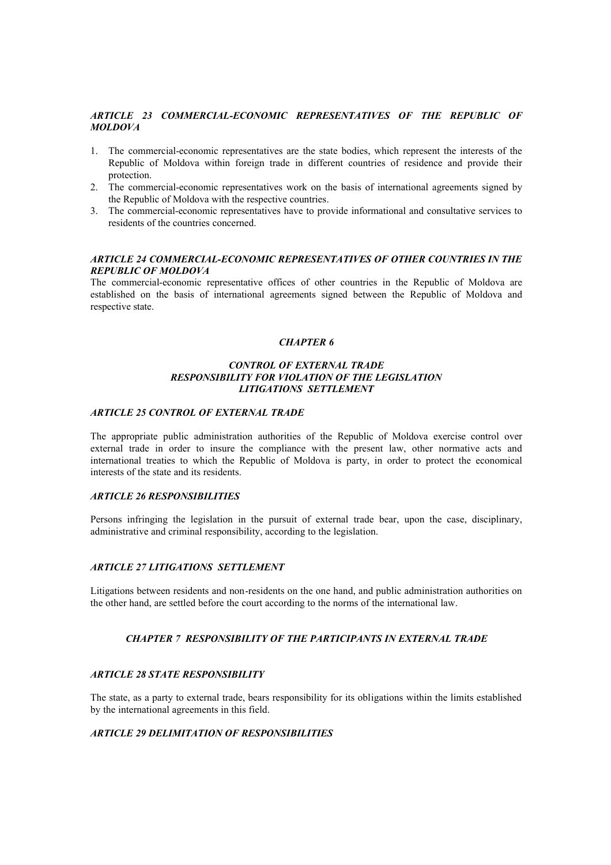# *ARTICLE 23 COMMERCIAL-ECONOMIC REPRESENTATIVES OF THE REPUBLIC OF MOLDOVA*

- 1. The commercial-economic representatives are the state bodies, which represent the interests of the Republic of Moldova within foreign trade in different countries of residence and provide their protection.
- 2. The commercial-economic representatives work on the basis of international agreements signed by the Republic of Moldova with the respective countries.
- 3. The commercial-economic representatives have to provide informational and consultative services to residents of the countries concerned.

#### *ARTICLE 24 COMMERCIAL-ECONOMIC REPRESENTATIVES OF OTHER COUNTRIES IN THE REPUBLIC OF MOLDOVA*

The commercial-economic representative offices of other countries in the Republic of Moldova are established on the basis of international agreements signed between the Republic of Moldova and respective state.

## *CHAPTER 6*

## *CONTROL OF EXTERNAL TRADE RESPONSIBILITY FOR VIOLATION OF THE LEGISLATION LITIGATIONS SETTLEMENT*

#### *ARTICLE 25 CONTROL OF EXTERNAL TRADE*

The appropriate public administration authorities of the Republic of Moldova exercise control over external trade in order to insure the compliance with the present law, other normative acts and international treaties to which the Republic of Moldova is party, in order to protect the economical interests of the state and its residents.

## *ARTICLE 26 RESPONSIBILITIES*

Persons infringing the legislation in the pursuit of external trade bear, upon the case, disciplinary, administrative and criminal responsibility, according to the legislation.

## *ARTICLE 27 LITIGATIONS SETTLEMENT*

Litigations between residents and non-residents on the one hand, and public administration authorities on the other hand, are settled before the court according to the norms of the international law.

# *CHAPTER 7 RESPONSIBILITY OF THE PARTICIPANTS IN EXTERNAL TRADE*

## *ARTICLE 28 STATE RESPONSIBILITY*

The state, as a party to external trade, bears responsibility for its obligations within the limits established by the international agreements in this field.

# *ARTICLE 29 DELIMITATION OF RESPONSIBILITIES*